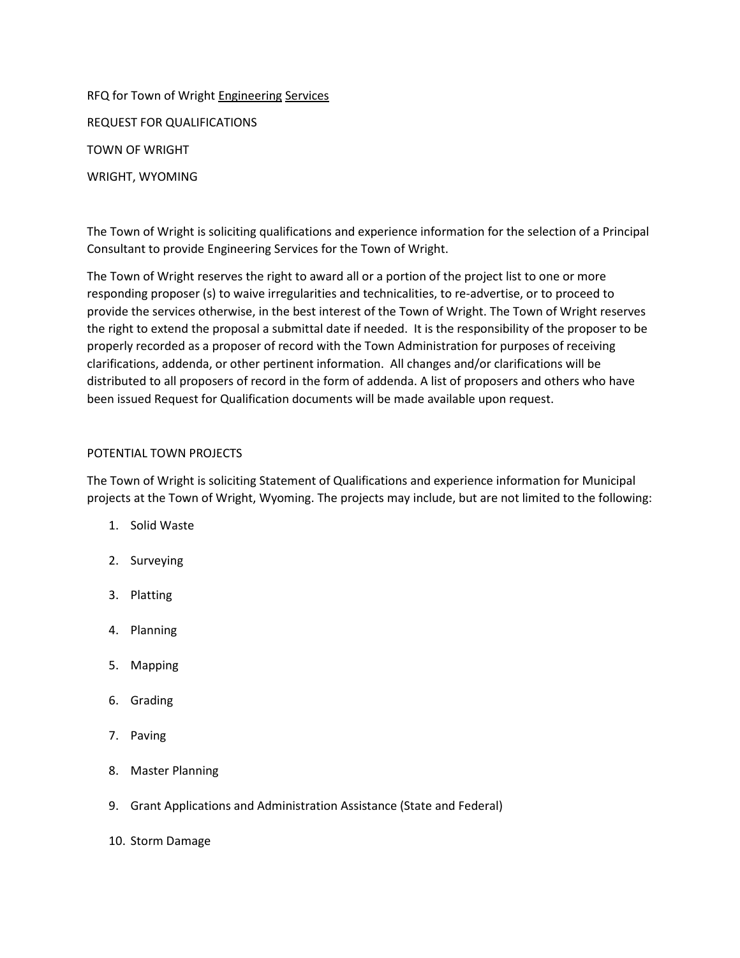RFQ for Town of Wright Engineering Services REQUEST FOR QUALIFICATIONS TOWN OF WRIGHT WRIGHT, WYOMING

The Town of Wright is soliciting qualifications and experience information for the selection of a Principal Consultant to provide Engineering Services for the Town of Wright.

The Town of Wright reserves the right to award all or a portion of the project list to one or more responding proposer (s) to waive irregularities and technicalities, to re-advertise, or to proceed to provide the services otherwise, in the best interest of the Town of Wright. The Town of Wright reserves the right to extend the proposal a submittal date if needed. It is the responsibility of the proposer to be properly recorded as a proposer of record with the Town Administration for purposes of receiving clarifications, addenda, or other pertinent information. All changes and/or clarifications will be distributed to all proposers of record in the form of addenda. A list of proposers and others who have been issued Request for Qualification documents will be made available upon request.

# POTENTIAL TOWN PROJECTS

The Town of Wright is soliciting Statement of Qualifications and experience information for Municipal projects at the Town of Wright, Wyoming. The projects may include, but are not limited to the following:

- 1. Solid Waste
- 2. Surveying
- 3. Platting
- 4. Planning
- 5. Mapping
- 6. Grading
- 7. Paving
- 8. Master Planning
- 9. Grant Applications and Administration Assistance (State and Federal)
- 10. Storm Damage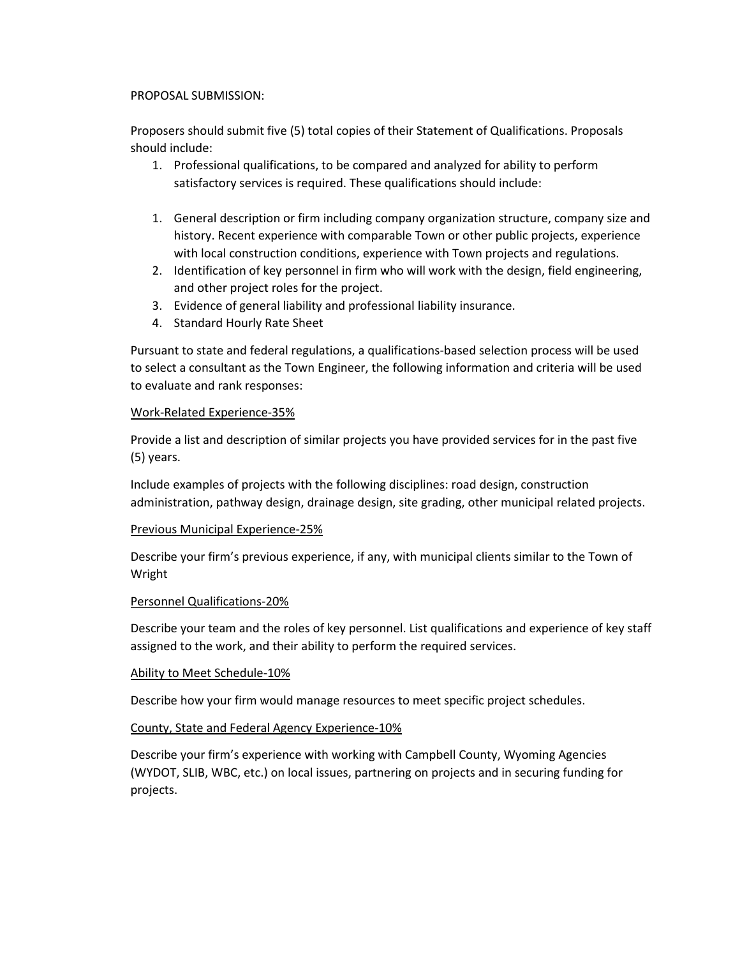## PROPOSAL SUBMISSION:

Proposers should submit five (5) total copies of their Statement of Qualifications. Proposals should include:

- 1. Professional qualifications, to be compared and analyzed for ability to perform satisfactory services is required. These qualifications should include:
- 1. General description or firm including company organization structure, company size and history. Recent experience with comparable Town or other public projects, experience with local construction conditions, experience with Town projects and regulations.
- 2. Identification of key personnel in firm who will work with the design, field engineering, and other project roles for the project.
- 3. Evidence of general liability and professional liability insurance.
- 4. Standard Hourly Rate Sheet

Pursuant to state and federal regulations, a qualifications-based selection process will be used to select a consultant as the Town Engineer, the following information and criteria will be used to evaluate and rank responses:

# Work-Related Experience-35%

Provide a list and description of similar projects you have provided services for in the past five (5) years.

Include examples of projects with the following disciplines: road design, construction administration, pathway design, drainage design, site grading, other municipal related projects.

# Previous Municipal Experience-25%

Describe your firm's previous experience, if any, with municipal clients similar to the Town of Wright

# Personnel Qualifications-20%

Describe your team and the roles of key personnel. List qualifications and experience of key staff assigned to the work, and their ability to perform the required services.

# Ability to Meet Schedule-10%

Describe how your firm would manage resources to meet specific project schedules.

# County, State and Federal Agency Experience-10%

Describe your firm's experience with working with Campbell County, Wyoming Agencies (WYDOT, SLIB, WBC, etc.) on local issues, partnering on projects and in securing funding for projects.